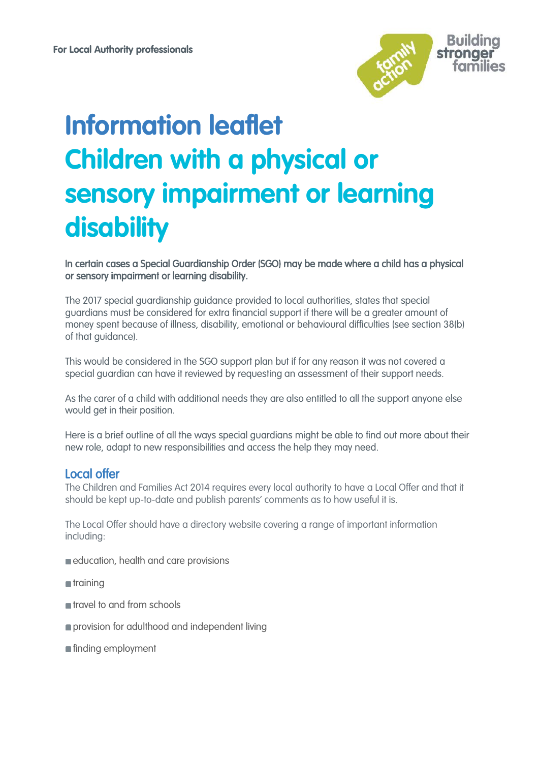

# **Information leaflet Children with a physical or sensory impairment or learning disability**

In certain cases a Special Guardianship Order (SGO) may be made where a child has a physical or sensory impairment or learning disability.

The 2017 special guardianship guidance provided to local authorities, states that special guardians must be considered for extra financial support if there will be a greater amount of money spent because of illness, disability, emotional or behavioural difficulties (see section 38(b) of that guidance).

This would be considered in the SGO support plan but if for any reason it was not covered a special guardian can have it reviewed by requesting an assessment of their support needs.

As the carer of a child with additional needs they are also entitled to all the support anyone else would get in their position.

Here is a brief outline of all the ways special guardians might be able to find out more about their new role, adapt to new responsibilities and access the help they may need.

# Local offer

The Children and Families Act 2014 requires every local authority to have a Local Offer and that it should be kept up-to-date and publish parents' comments as to how useful it is.

The Local Offer should have a directory website covering a range of important information including:

- education, health and care provisions
- $\blacksquare$ training
- **n**travel to and from schools
- **provision for adulthood and independent living**
- **finding employment**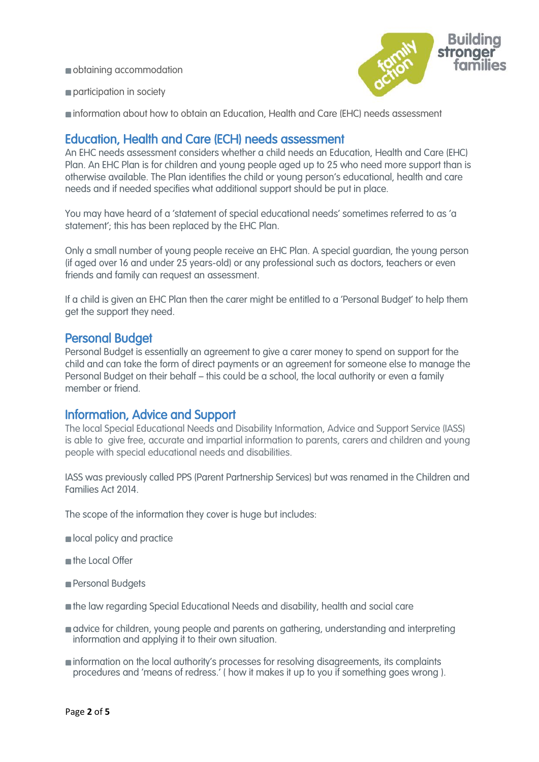obtaining accommodation



participation in society

information about how to obtain an Education, Health and Care (EHC) needs assessment

## Education, Health and Care (ECH) needs assessment

An EHC needs assessment considers whether a child needs an Education, Health and Care (EHC) Plan. An EHC Plan is for children and young people aged up to 25 who need more support than is otherwise available. The Plan identifies the child or young person's educational, health and care needs and if needed specifies what additional support should be put in place.

You may have heard of a 'statement of special educational needs' sometimes referred to as 'a statement'; this has been replaced by the EHC Plan.

Only a small number of young people receive an EHC Plan. A special guardian, the young person (if aged over 16 and under 25 years-old) or any professional such as doctors, teachers or even friends and family can request an assessment.

If a child is given an EHC Plan then the carer might be entitled to a 'Personal Budget' to help them get the support they need.

### Personal Budget

Personal Budget is essentially an agreement to give a carer money to spend on support for the child and can take the form of direct payments or an agreement for someone else to manage the Personal Budget on their behalf – this could be a school, the local authority or even a family member or friend.

## Information, Advice and Support

The local Special Educational Needs and Disability Information, Advice and Support Service (IASS) is able to give free, accurate and impartial information to parents, carers and children and young people with special educational needs and disabilities.

IASS was previously called PPS (Parent Partnership Services) but was renamed in the Children and Families Act 2014.

The scope of the information they cover is huge but includes:

- **n** local policy and practice
- **n** the Local Offer
- Personal Budgets
- the law regarding Special Educational Needs and disability, health and social care
- **advice for children, young people and parents on gathering, understanding and interpreting** information and applying it to their own situation.
- information on the local authority's processes for resolving disagreements, its complaints procedures and 'means of redress.' ( how it makes it up to you if something goes wrong ).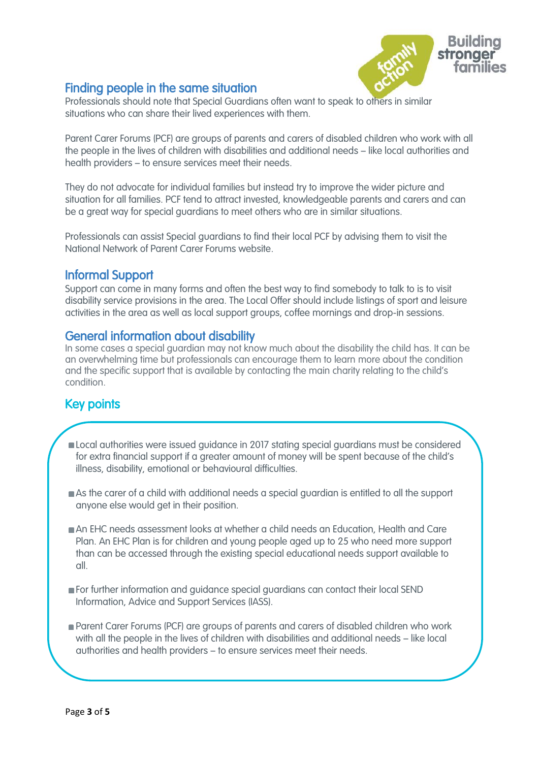

# Finding people in the same situation

Professionals should note that Special Guardians often want to speak to others in similar situations who can share their lived experiences with them.

Parent Carer Forums (PCF) are groups of parents and carers of disabled children who work with all the people in the lives of children with disabilities and additional needs – like local authorities and health providers – to ensure services meet their needs.

They do not advocate for individual families but instead try to improve the wider picture and situation for all families. PCF tend to attract invested, knowledgeable parents and carers and can be a great way for special guardians to meet others who are in similar situations.

Professionals can assist Special guardians to find their local PCF by advising them to visit the National Network of Parent Carer Forums website.

# Informal Support

Support can come in many forms and often the best way to find somebody to talk to is to visit disability service provisions in the area. The Local Offer should include listings of sport and leisure activities in the area as well as local support groups, coffee mornings and drop-in sessions.

## General information about disability

In some cases a special guardian may not know much about the disability the child has. It can be an overwhelming time but professionals can encourage them to learn more about the condition and the specific support that is available by contacting the main charity relating to the child's condition.

#### $\frac{1}{2}$ Key points

í

- i, Local authorities were issued guidance in 2017 stating special guardians must be considered<br>for orbital financial support if a master measure of measure ill be considered as the shild of for extra financial support if a greater amount of money will be spent because of the child's illness, disability, emotional or behavioural difficulties.
- As the carer of a child with additional needs a special guardian is entitled to all the support anyone else would get in their position.
- An EHC needs assessment looks at whether a child needs an Education, Health and Care Plan. An EHC Plan is for children and young people aged up to 25 who need more support than can be accessed through the existing special educational needs support available to all.
- For further information and guidance special guardians can contact their local SEND Information, Advice and Support Services (IASS).
- **Parent Carer Forums (PCF) are groups of parents and carers of disabled children who work** with all the people in the lives of children with disabilities and additional needs – like local authorities and health providers – to ensure services meet their needs.

I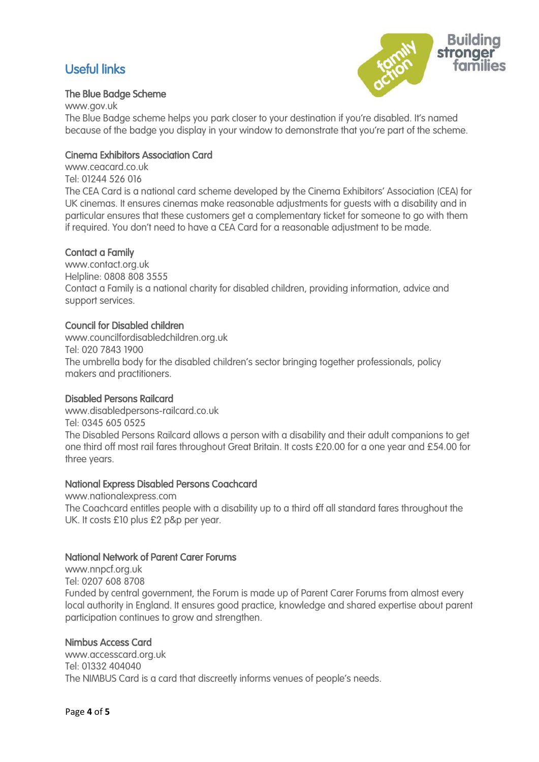# Useful links



#### The Blue Badge Scheme

www.gov.uk The Blue Badge scheme helps you park closer to your destination if you're disabled. It's named because of the badge you display in your window to demonstrate that you're part of the scheme.

#### Cinema Exhibitors Association Card

www.ceacard.co.uk Tel: 01244 526 016 The CEA Card is a national card scheme developed by the Cinema Exhibitors' Association (CEA) for UK cinemas. It ensures cinemas make reasonable adjustments for guests with a disability and in particular ensures that these customers get a complementary ticket for someone to go with them if required. You don't need to have a CEA Card for a reasonable adjustment to be made.

#### Contact a Family

www.contact.org.uk Helpline: 0808 808 3555 Contact a Family is a national charity for disabled children, providing information, advice and support services.

#### Council for Disabled children

www.councilfordisabledchildren.org.uk Tel: 020 7843 1900 The umbrella body for the disabled children's sector bringing together professionals, policy makers and practitioners.

#### Disabled Persons Railcard

www.disabledpersons-railcard.co.uk Tel: 0345 605 0525 The Disabled Persons Railcard allows a person with a disability and their adult companions to get one third off most rail fares throughout Great Britain. It costs £20.00 for a one year and £54.00 for three years.

#### National Express Disabled Persons Coachcard

www.nationalexpress.com The Coachcard entitles people with a disability up to a third off all standard fares throughout the UK. It costs £10 plus £2 p&p per year.

#### National Network of Parent Carer Forums

www.nnpcf.org.uk Tel: 0207 608 8708 Funded by central government, the Forum is made up of Parent Carer Forums from almost every local authority in England. It ensures good practice, knowledge and shared expertise about parent participation continues to grow and strengthen.

#### Nimbus Access Card

www.accesscard.org.uk Tel: 01332 404040 The NIMBUS Card is a card that discreetly informs venues of people's needs.